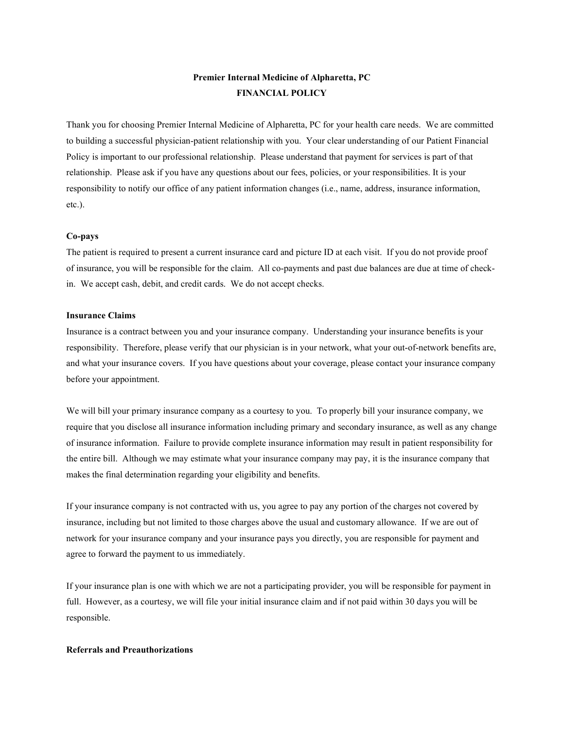# Premier Internal Medicine of Alpharetta, PC FINANCIAL POLICY

Thank you for choosing Premier Internal Medicine of Alpharetta, PC for your health care needs. We are committed to building a successful physician-patient relationship with you. Your clear understanding of our Patient Financial Policy is important to our professional relationship. Please understand that payment for services is part of that relationship. Please ask if you have any questions about our fees, policies, or your responsibilities. It is your responsibility to notify our office of any patient information changes (i.e., name, address, insurance information, etc.).

#### Co-pays

The patient is required to present a current insurance card and picture ID at each visit. If you do not provide proof of insurance, you will be responsible for the claim. All co-payments and past due balances are due at time of checkin. We accept cash, debit, and credit cards. We do not accept checks.

#### Insurance Claims

Insurance is a contract between you and your insurance company. Understanding your insurance benefits is your responsibility. Therefore, please verify that our physician is in your network, what your out-of-network benefits are, and what your insurance covers. If you have questions about your coverage, please contact your insurance company before your appointment.

We will bill your primary insurance company as a courtesy to you. To properly bill your insurance company, we require that you disclose all insurance information including primary and secondary insurance, as well as any change of insurance information. Failure to provide complete insurance information may result in patient responsibility for the entire bill. Although we may estimate what your insurance company may pay, it is the insurance company that makes the final determination regarding your eligibility and benefits.

If your insurance company is not contracted with us, you agree to pay any portion of the charges not covered by insurance, including but not limited to those charges above the usual and customary allowance. If we are out of network for your insurance company and your insurance pays you directly, you are responsible for payment and agree to forward the payment to us immediately.

If your insurance plan is one with which we are not a participating provider, you will be responsible for payment in full. However, as a courtesy, we will file your initial insurance claim and if not paid within 30 days you will be responsible.

#### Referrals and Preauthorizations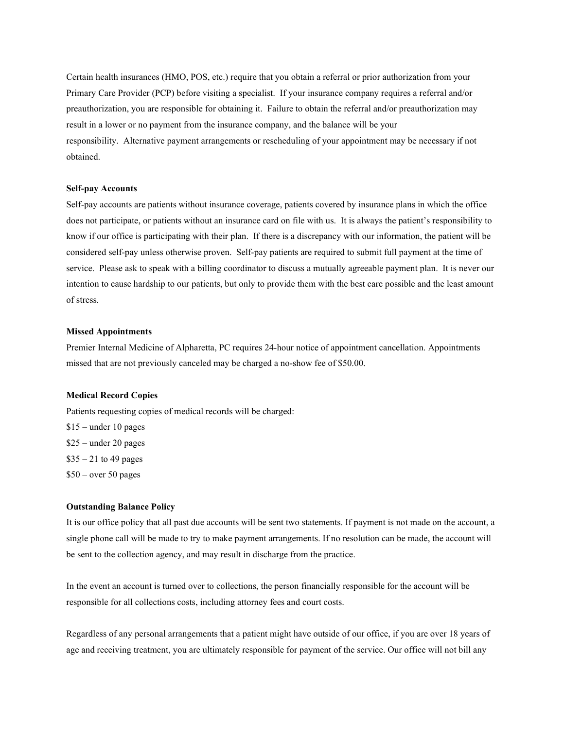Certain health insurances (HMO, POS, etc.) require that you obtain a referral or prior authorization from your Primary Care Provider (PCP) before visiting a specialist. If your insurance company requires a referral and/or preauthorization, you are responsible for obtaining it. Failure to obtain the referral and/or preauthorization may result in a lower or no payment from the insurance company, and the balance will be your responsibility. Alternative payment arrangements or rescheduling of your appointment may be necessary if not obtained.

#### Self-pay Accounts

Self-pay accounts are patients without insurance coverage, patients covered by insurance plans in which the office does not participate, or patients without an insurance card on file with us. It is always the patient's responsibility to know if our office is participating with their plan. If there is a discrepancy with our information, the patient will be considered self-pay unless otherwise proven. Self-pay patients are required to submit full payment at the time of service. Please ask to speak with a billing coordinator to discuss a mutually agreeable payment plan. It is never our intention to cause hardship to our patients, but only to provide them with the best care possible and the least amount of stress.

#### Missed Appointments

Premier Internal Medicine of Alpharetta, PC requires 24-hour notice of appointment cancellation. Appointments missed that are not previously canceled may be charged a no-show fee of \$50.00.

#### Medical Record Copies

Patients requesting copies of medical records will be charged:

\$15 – under 10 pages \$25 – under 20 pages  $$35 - 21$  to 49 pages  $$50$  – over 50 pages

### Outstanding Balance Policy

It is our office policy that all past due accounts will be sent two statements. If payment is not made on the account, a single phone call will be made to try to make payment arrangements. If no resolution can be made, the account will be sent to the collection agency, and may result in discharge from the practice.

In the event an account is turned over to collections, the person financially responsible for the account will be responsible for all collections costs, including attorney fees and court costs.

Regardless of any personal arrangements that a patient might have outside of our office, if you are over 18 years of age and receiving treatment, you are ultimately responsible for payment of the service. Our office will not bill any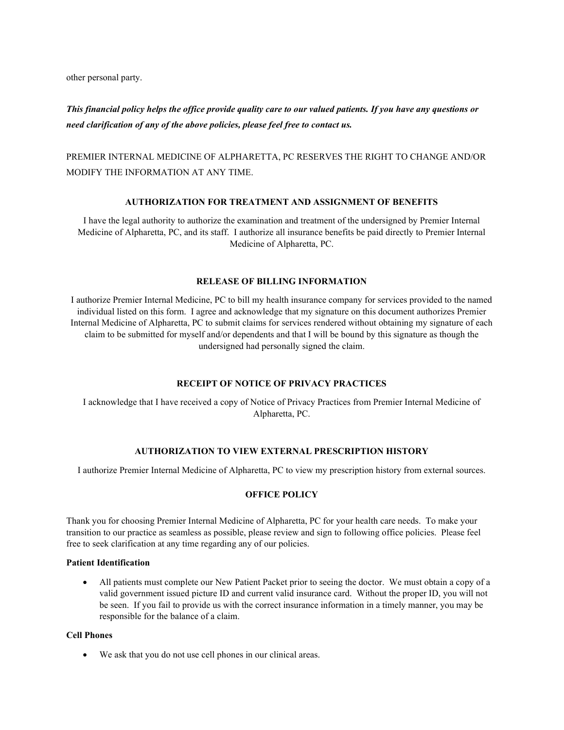other personal party.

This financial policy helps the office provide quality care to our valued patients. If you have any questions or need clarification of any of the above policies, please feel free to contact us.

PREMIER INTERNAL MEDICINE OF ALPHARETTA, PC RESERVES THE RIGHT TO CHANGE AND/OR MODIFY THE INFORMATION AT ANY TIME.

### AUTHORIZATION FOR TREATMENT AND ASSIGNMENT OF BENEFITS

I have the legal authority to authorize the examination and treatment of the undersigned by Premier Internal Medicine of Alpharetta, PC, and its staff. I authorize all insurance benefits be paid directly to Premier Internal Medicine of Alpharetta, PC.

### RELEASE OF BILLING INFORMATION

I authorize Premier Internal Medicine, PC to bill my health insurance company for services provided to the named individual listed on this form. I agree and acknowledge that my signature on this document authorizes Premier Internal Medicine of Alpharetta, PC to submit claims for services rendered without obtaining my signature of each claim to be submitted for myself and/or dependents and that I will be bound by this signature as though the undersigned had personally signed the claim.

#### RECEIPT OF NOTICE OF PRIVACY PRACTICES

I acknowledge that I have received a copy of Notice of Privacy Practices from Premier Internal Medicine of Alpharetta, PC.

## AUTHORIZATION TO VIEW EXTERNAL PRESCRIPTION HISTORY

I authorize Premier Internal Medicine of Alpharetta, PC to view my prescription history from external sources.

## OFFICE POLICY

Thank you for choosing Premier Internal Medicine of Alpharetta, PC for your health care needs. To make your transition to our practice as seamless as possible, please review and sign to following office policies. Please feel free to seek clarification at any time regarding any of our policies.

### Patient Identification

 All patients must complete our New Patient Packet prior to seeing the doctor. We must obtain a copy of a valid government issued picture ID and current valid insurance card. Without the proper ID, you will not be seen. If you fail to provide us with the correct insurance information in a timely manner, you may be responsible for the balance of a claim.

#### Cell Phones

We ask that you do not use cell phones in our clinical areas.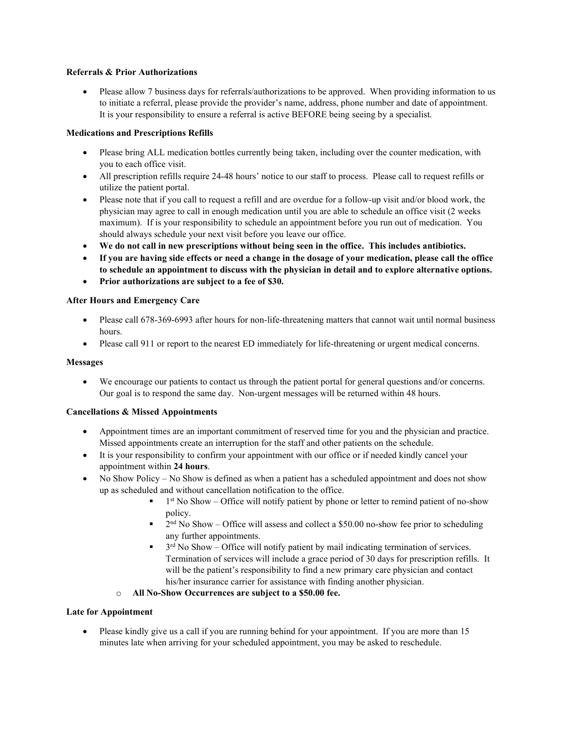## Referrals & Prior Authorizations

 Please allow 7 business days for referrals/authorizations to be approved. When providing information to us to initiate a referral, please provide the provider's name, address, phone number and date of appointment. It is your responsibility to ensure a referral is active BEFORE being seeing by a specialist.

## Medications and Prescriptions Refills

- Please bring ALL medication bottles currently being taken, including over the counter medication, with you to each office visit.
- All prescription refills require 24-48 hours' notice to our staff to process. Please call to request refills or utilize the patient portal.
- Please note that if you call to request a refill and are overdue for a follow-up visit and/or blood work, the physician may agree to call in enough medication until you are able to schedule an office visit (2 weeks maximum). If is your responsibility to schedule an appointment before you run out of medication. You should always schedule your next visit before you leave our office.
- We do not call in new prescriptions without being seen in the office. This includes antibiotics.
- If you are having side effects or need a change in the dosage of your medication, please call the office to schedule an appointment to discuss with the physician in detail and to explore alternative options.
- Prior authorizations are subject to a fee of \$30.

## After Hours and Emergency Care

- Please call 678-369-6993 after hours for non-life-threatening matters that cannot wait until normal business hours.
- Please call 911 or report to the nearest ED immediately for life-threatening or urgent medical concerns.

## Messages

 We encourage our patients to contact us through the patient portal for general questions and/or concerns. Our goal is to respond the same day. Non-urgent messages will be returned within 48 hours.

## Cancellations & Missed Appointments

- Appointment times are an important commitment of reserved time for you and the physician and practice. Missed appointments create an interruption for the staff and other patients on the schedule.
- It is your responsibility to confirm your appointment with our office or if needed kindly cancel your appointment within 24 hours.
- No Show Policy No Show is defined as when a patient has a scheduled appointment and does not show up as scheduled and without cancellation notification to the office.
	- $\blacksquare$  1<sup>st</sup> No Show Office will notify patient by phone or letter to remind patient of no-show policy.
	- $\blacksquare$  2<sup>nd</sup> No Show Office will assess and collect a \$50.00 no-show fee prior to scheduling any further appointments.
	- $\blacksquare$  3<sup>rd</sup> No Show Office will notify patient by mail indicating termination of services. Termination of services will include a grace period of 30 days for prescription refills. It will be the patient's responsibility to find a new primary care physician and contact his/her insurance carrier for assistance with finding another physician.
	- o All No-Show Occurrences are subject to a \$50.00 fee.

## Late for Appointment

Please kindly give us a call if you are running behind for your appointment. If you are more than 15 minutes late when arriving for your scheduled appointment, you may be asked to reschedule.